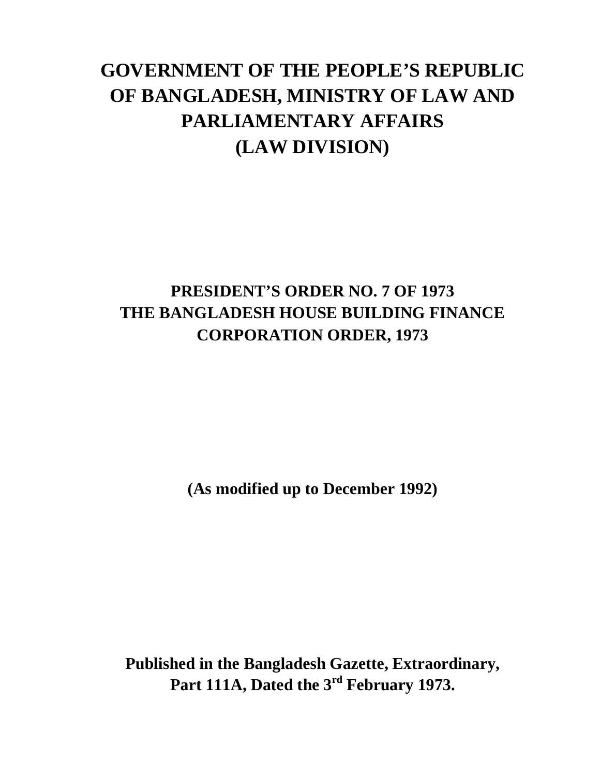# **GOVERNMENT OF THE PEOPLE'S REPUBLIC OF BANGLADESH, MINISTRY OF LAW AND PARLIAMENTARY AFFAIRS (LAW DIVISION)**

# **PRESIDENT'S ORDER NO. 7 OF 1973 THE BANGLADESH HOUSE BUILDING FINANCE CORPORATION ORDER, 1973**

**(As modified up to December 1992)**

**Published in the Bangladesh Gazette, Extraordinary, Part 111A, Dated the 3rd February 1973.**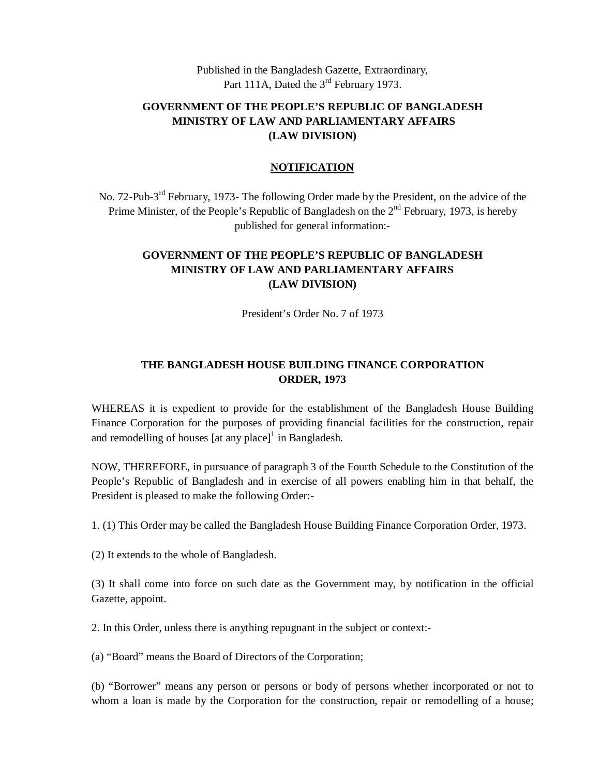Published in the Bangladesh Gazette, Extraordinary, Part 111A, Dated the 3<sup>rd</sup> February 1973.

#### **GOVERNMENT OF THE PEOPLE'S REPUBLIC OF BANGLADESH MINISTRY OF LAW AND PARLIAMENTARY AFFAIRS (LAW DIVISION)**

#### **NOTIFICATION**

No. 72-Pub-3<sup>rd</sup> February, 1973- The following Order made by the President, on the advice of the Prime Minister, of the People's Republic of Bangladesh on the  $2<sup>nd</sup>$  February, 1973, is hereby published for general information:-

#### **GOVERNMENT OF THE PEOPLE'S REPUBLIC OF BANGLADESH MINISTRY OF LAW AND PARLIAMENTARY AFFAIRS (LAW DIVISION)**

President's Order No. 7 of 1973

#### **THE BANGLADESH HOUSE BUILDING FINANCE CORPORATION ORDER, 1973**

WHEREAS it is expedient to provide for the establishment of the Bangladesh House Building Finance Corporation for the purposes of providing financial facilities for the construction, repair and remodelling of houses  $[at any place]$ <sup>1</sup> in Bangladesh.

NOW, THEREFORE, in pursuance of paragraph 3 of the Fourth Schedule to the Constitution of the People's Republic of Bangladesh and in exercise of all powers enabling him in that behalf, the President is pleased to make the following Order:-

1. (1) This Order may be called the Bangladesh House Building Finance Corporation Order, 1973.

(2) It extends to the whole of Bangladesh.

(3) It shall come into force on such date as the Government may, by notification in the official Gazette, appoint.

2. In this Order, unless there is anything repugnant in the subject or context:-

(a) "Board" means the Board of Directors of the Corporation;

(b) "Borrower" means any person or persons or body of persons whether incorporated or not to whom a loan is made by the Corporation for the construction, repair or remodelling of a house;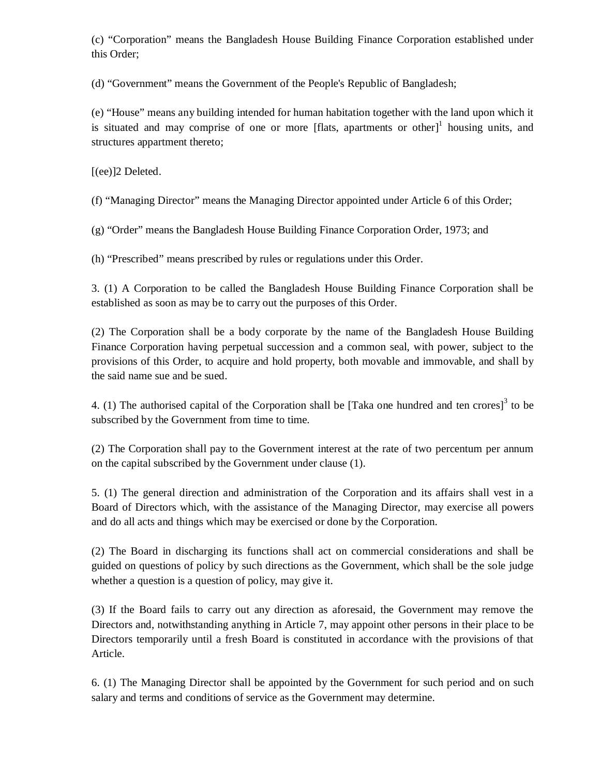(c) "Corporation" means the Bangladesh House Building Finance Corporation established under this Order;

(d) "Government" means the Government of the People's Republic of Bangladesh;

(e) "House" means any building intended for human habitation together with the land upon which it is situated and may comprise of one or more [flats, apartments or other] $1$  housing units, and structures appartment thereto;

[(ee)]2 Deleted.

(f) "Managing Director" means the Managing Director appointed under Article 6 of this Order;

(g) "Order" means the Bangladesh House Building Finance Corporation Order, 1973; and

(h) "Prescribed" means prescribed by rules or regulations under this Order.

3. (1) A Corporation to be called the Bangladesh House Building Finance Corporation shall be established as soon as may be to carry out the purposes of this Order.

(2) The Corporation shall be a body corporate by the name of the Bangladesh House Building Finance Corporation having perpetual succession and a common seal, with power, subject to the provisions of this Order, to acquire and hold property, both movable and immovable, and shall by the said name sue and be sued.

4. (1) The authorised capital of the Corporation shall be [Taka one hundred and ten crores]<sup>3</sup> to be subscribed by the Government from time to time.

(2) The Corporation shall pay to the Government interest at the rate of two percentum per annum on the capital subscribed by the Government under clause (1).

5. (1) The general direction and administration of the Corporation and its affairs shall vest in a Board of Directors which, with the assistance of the Managing Director, may exercise all powers and do all acts and things which may be exercised or done by the Corporation.

(2) The Board in discharging its functions shall act on commercial considerations and shall be guided on questions of policy by such directions as the Government, which shall be the sole judge whether a question is a question of policy, may give it.

(3) If the Board fails to carry out any direction as aforesaid, the Government may remove the Directors and, notwithstanding anything in Article 7, may appoint other persons in their place to be Directors temporarily until a fresh Board is constituted in accordance with the provisions of that Article.

6. (1) The Managing Director shall be appointed by the Government for such period and on such salary and terms and conditions of service as the Government may determine.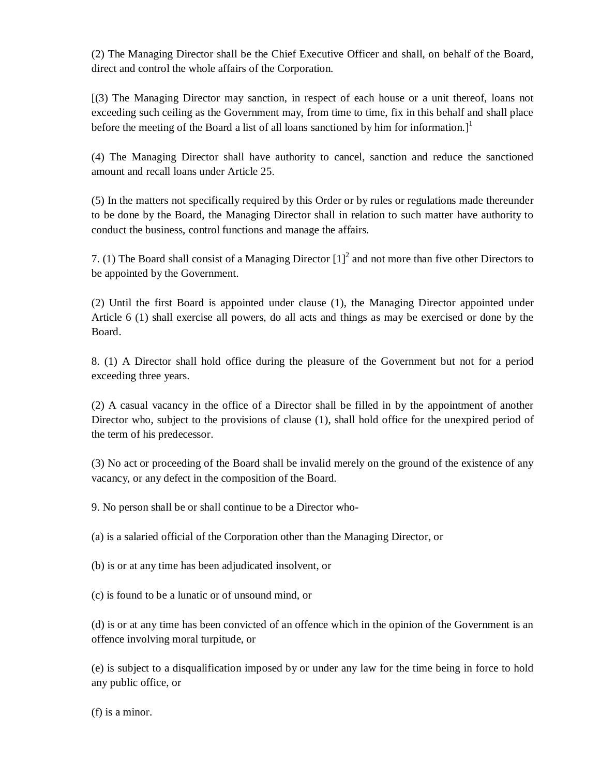(2) The Managing Director shall be the Chief Executive Officer and shall, on behalf of the Board, direct and control the whole affairs of the Corporation.

[(3) The Managing Director may sanction, in respect of each house or a unit thereof, loans not exceeding such ceiling as the Government may, from time to time, fix in this behalf and shall place before the meeting of the Board a list of all loans sanctioned by him for information.]<sup>1</sup>

(4) The Managing Director shall have authority to cancel, sanction and reduce the sanctioned amount and recall loans under Article 25.

(5) In the matters not specifically required by this Order or by rules or regulations made thereunder to be done by the Board, the Managing Director shall in relation to such matter have authority to conduct the business, control functions and manage the affairs.

7. (1) The Board shall consist of a Managing Director  $\left[1\right]^2$  and not more than five other Directors to be appointed by the Government.

(2) Until the first Board is appointed under clause (1), the Managing Director appointed under Article 6 (1) shall exercise all powers, do all acts and things as may be exercised or done by the Board.

8. (1) A Director shall hold office during the pleasure of the Government but not for a period exceeding three years.

(2) A casual vacancy in the office of a Director shall be filled in by the appointment of another Director who, subject to the provisions of clause (1), shall hold office for the unexpired period of the term of his predecessor.

(3) No act or proceeding of the Board shall be invalid merely on the ground of the existence of any vacancy, or any defect in the composition of the Board.

9. No person shall be or shall continue to be a Director who-

(a) is a salaried official of the Corporation other than the Managing Director, or

(b) is or at any time has been adjudicated insolvent, or

(c) is found to be a lunatic or of unsound mind, or

(d) is or at any time has been convicted of an offence which in the opinion of the Government is an offence involving moral turpitude, or

(e) is subject to a disqualification imposed by or under any law for the time being in force to hold any public office, or

(f) is a minor.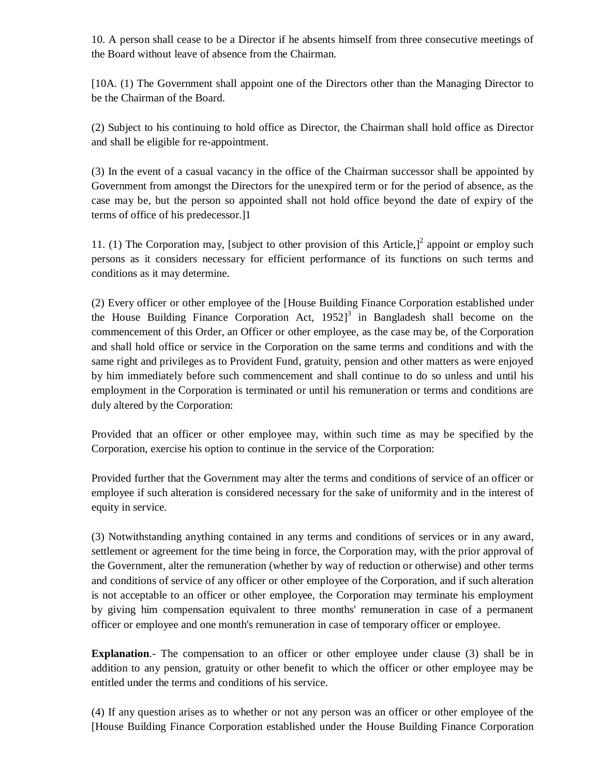10. A person shall cease to be a Director if he absents himself from three consecutive meetings of the Board without leave of absence from the Chairman.

[10A. (1) The Government shall appoint one of the Directors other than the Managing Director to be the Chairman of the Board.

(2) Subject to his continuing to hold office as Director, the Chairman shall hold office as Director and shall be eligible for re-appointment.

(3) In the event of a casual vacancy in the office of the Chairman successor shall be appointed by Government from amongst the Directors for the unexpired term or for the period of absence, as the case may be, but the person so appointed shall not hold office beyond the date of expiry of the terms of office of his predecessor.]1

11. (1) The Corporation may, [subject to other provision of this Article,] $2$  appoint or employ such persons as it considers necessary for efficient performance of its functions on such terms and conditions as it may determine.

(2) Every officer or other employee of the [House Building Finance Corporation established under the House Building Finance Corporation Act,  $1952$ <sup>3</sup> in Bangladesh shall become on the commencement of this Order, an Officer or other employee, as the case may be, of the Corporation and shall hold office or service in the Corporation on the same terms and conditions and with the same right and privileges as to Provident Fund, gratuity, pension and other matters as were enjoyed by him immediately before such commencement and shall continue to do so unless and until his employment in the Corporation is terminated or until his remuneration or terms and conditions are duly altered by the Corporation:

Provided that an officer or other employee may, within such time as may be specified by the Corporation, exercise his option to continue in the service of the Corporation:

Provided further that the Government may alter the terms and conditions of service of an officer or employee if such alteration is considered necessary for the sake of uniformity and in the interest of equity in service.

(3) Notwithstanding anything contained in any terms and conditions of services or in any award, settlement or agreement for the time being in force, the Corporation may, with the prior approval of the Government, alter the remuneration (whether by way of reduction or otherwise) and other terms and conditions of service of any officer or other employee of the Corporation, and if such alteration is not acceptable to an officer or other employee, the Corporation may terminate his employment by giving him compensation equivalent to three months' remuneration in case of a permanent officer or employee and one month's remuneration in case of temporary officer or employee.

**Explanation.**- The compensation to an officer or other employee under clause (3) shall be in addition to any pension, gratuity or other benefit to which the officer or other employee may be entitled under the terms and conditions of his service.

(4) If any question arises as to whether or not any person was an officer or other employee of the [House Building Finance Corporation established under the House Building Finance Corporation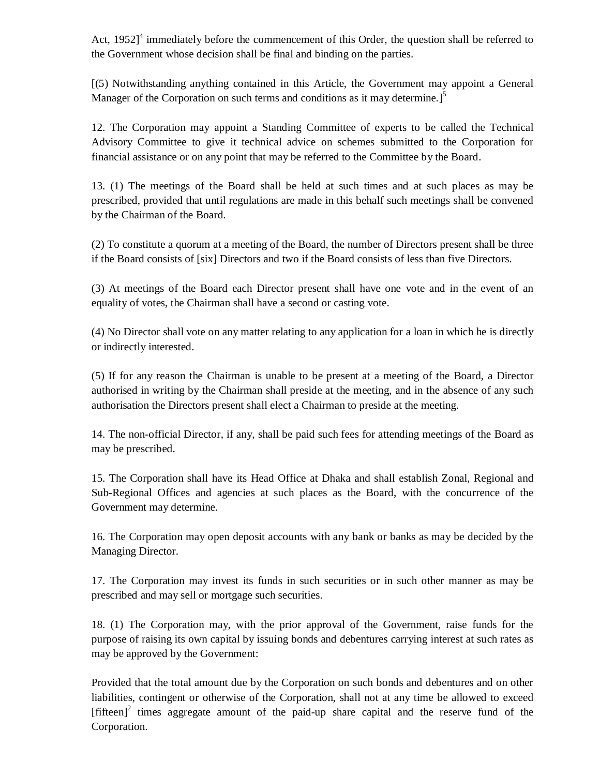Act,  $1952$ <sup>4</sup> immediately before the commencement of this Order, the question shall be referred to the Government whose decision shall be final and binding on the parties.

[(5) Notwithstanding anything contained in this Article, the Government may appoint a General Manager of the Corporation on such terms and conditions as it may determine.<sup>15</sup>

12. The Corporation may appoint a Standing Committee of experts to be called the Technical Advisory Committee to give it technical advice on schemes submitted to the Corporation for financial assistance or on any point that may be referred to the Committee by the Board.

13. (1) The meetings of the Board shall be held at such times and at such places as may be prescribed, provided that until regulations are made in this behalf such meetings shall be convened by the Chairman of the Board.

(2) To constitute a quorum at a meeting of the Board, the number of Directors present shall be three if the Board consists of [six] Directors and two if the Board consists of less than five Directors.

(3) At meetings of the Board each Director present shall have one vote and in the event of an equality of votes, the Chairman shall have a second or casting vote.

(4) No Director shall vote on any matter relating to any application for a loan in which he is directly or indirectly interested.

(5) If for any reason the Chairman is unable to be present at a meeting of the Board, a Director authorised in writing by the Chairman shall preside at the meeting, and in the absence of any such authorisation the Directors present shall elect a Chairman to preside at the meeting.

14. The non-official Director, if any, shall be paid such fees for attending meetings of the Board as may be prescribed.

15. The Corporation shall have its Head Office at Dhaka and shall establish Zonal, Regional and Sub-Regional Offices and agencies at such places as the Board, with the concurrence of the Government may determine.

16. The Corporation may open deposit accounts with any bank or banks as may be decided by the Managing Director.

17. The Corporation may invest its funds in such securities or in such other manner as may be prescribed and may sell or mortgage such securities.

18. (1) The Corporation may, with the prior approval of the Government, raise funds for the purpose of raising its own capital by issuing bonds and debentures carrying interest at such rates as may be approved by the Government:

Provided that the total amount due by the Corporation on such bonds and debentures and on other liabilities, contingent or otherwise of the Corporation, shall not at any time be allowed to exceed [fifteen]<sup>2</sup> times aggregate amount of the paid-up share capital and the reserve fund of the Corporation.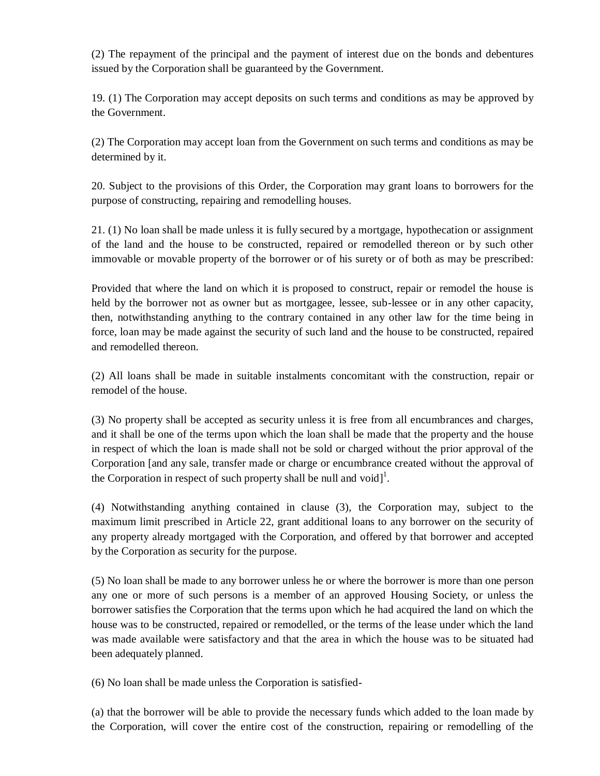(2) The repayment of the principal and the payment of interest due on the bonds and debentures issued by the Corporation shall be guaranteed by the Government.

19. (1) The Corporation may accept deposits on such terms and conditions as may be approved by the Government.

(2) The Corporation may accept loan from the Government on such terms and conditions as may be determined by it.

20. Subject to the provisions of this Order, the Corporation may grant loans to borrowers for the purpose of constructing, repairing and remodelling houses.

21. (1) No loan shall be made unless it is fully secured by a mortgage, hypothecation or assignment of the land and the house to be constructed, repaired or remodelled thereon or by such other immovable or movable property of the borrower or of his surety or of both as may be prescribed:

Provided that where the land on which it is proposed to construct, repair or remodel the house is held by the borrower not as owner but as mortgagee, lessee, sub-lessee or in any other capacity, then, notwithstanding anything to the contrary contained in any other law for the time being in force, loan may be made against the security of such land and the house to be constructed, repaired and remodelled thereon.

(2) All loans shall be made in suitable instalments concomitant with the construction, repair or remodel of the house.

(3) No property shall be accepted as security unless it is free from all encumbrances and charges, and it shall be one of the terms upon which the loan shall be made that the property and the house in respect of which the loan is made shall not be sold or charged without the prior approval of the Corporation [and any sale, transfer made or charge or encumbrance created without the approval of the Corporation in respect of such property shall be null and  $\text{void}$ .

(4) Notwithstanding anything contained in clause (3), the Corporation may, subject to the maximum limit prescribed in Article 22, grant additional loans to any borrower on the security of any property already mortgaged with the Corporation, and offered by that borrower and accepted by the Corporation as security for the purpose.

(5) No loan shall be made to any borrower unless he or where the borrower is more than one person any one or more of such persons is a member of an approved Housing Society, or unless the borrower satisfies the Corporation that the terms upon which he had acquired the land on which the house was to be constructed, repaired or remodelled, or the terms of the lease under which the land was made available were satisfactory and that the area in which the house was to be situated had been adequately planned.

(6) No loan shall be made unless the Corporation is satisfied-

(a) that the borrower will be able to provide the necessary funds which added to the loan made by the Corporation, will cover the entire cost of the construction, repairing or remodelling of the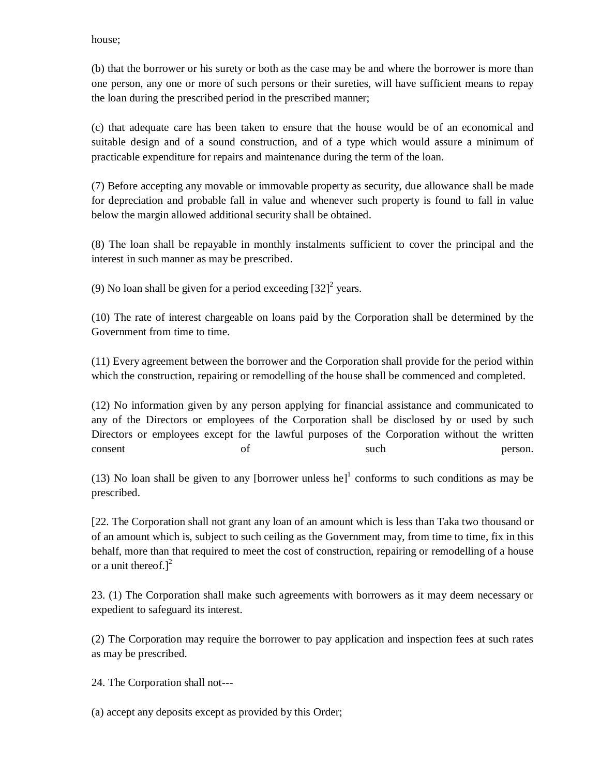house;

(b) that the borrower or his surety or both as the case may be and where the borrower is more than one person, any one or more of such persons or their sureties, will have sufficient means to repay the loan during the prescribed period in the prescribed manner;

(c) that adequate care has been taken to ensure that the house would be of an economical and suitable design and of a sound construction, and of a type which would assure a minimum of practicable expenditure for repairs and maintenance during the term of the loan.

(7) Before accepting any movable or immovable property as security, due allowance shall be made for depreciation and probable fall in value and whenever such property is found to fall in value below the margin allowed additional security shall be obtained.

(8) The loan shall be repayable in monthly instalments sufficient to cover the principal and the interest in such manner as may be prescribed.

(9) No loan shall be given for a period exceeding  $[32]^2$  years.

(10) The rate of interest chargeable on loans paid by the Corporation shall be determined by the Government from time to time.

(11) Every agreement between the borrower and the Corporation shall provide for the period within which the construction, repairing or remodelling of the house shall be commenced and completed.

(12) No information given by any person applying for financial assistance and communicated to any of the Directors or employees of the Corporation shall be disclosed by or used by such Directors or employees except for the lawful purposes of the Corporation without the written consent of such such person.

(13) No loan shall be given to any [borrower unless  $he$ ]<sup>1</sup> conforms to such conditions as may be prescribed.

[22. The Corporation shall not grant any loan of an amount which is less than Taka two thousand or of an amount which is, subject to such ceiling as the Government may, from time to time, fix in this behalf, more than that required to meet the cost of construction, repairing or remodelling of a house or a unit thereof.] $<sup>2</sup>$ </sup>

23. (1) The Corporation shall make such agreements with borrowers as it may deem necessary or expedient to safeguard its interest.

(2) The Corporation may require the borrower to pay application and inspection fees at such rates as may be prescribed.

24. The Corporation shall not---

(a) accept any deposits except as provided by this Order;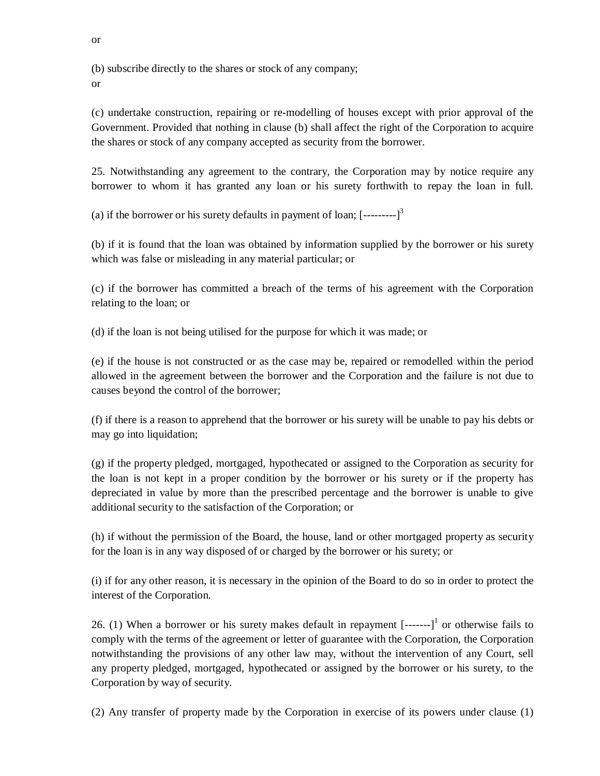(b) subscribe directly to the shares or stock of any company; or

(c) undertake construction, repairing or re-modelling of houses except with prior approval of the Government. Provided that nothing in clause (b) shall affect the right of the Corporation to acquire the shares or stock of any company accepted as security from the borrower.

25. Notwithstanding any agreement to the contrary, the Corporation may by notice require any borrower to whom it has granted any loan or his surety forthwith to repay the loan in full.

(a) if the borrower or his surety defaults in payment of loan;  $[-\cdots]$ <sup>3</sup>

(b) if it is found that the loan was obtained by information supplied by the borrower or his surety which was false or misleading in any material particular; or

(c) if the borrower has committed a breach of the terms of his agreement with the Corporation relating to the loan; or

(d) if the loan is not being utilised for the purpose for which it was made; or

(e) if the house is not constructed or as the case may be, repaired or remodelled within the period allowed in the agreement between the borrower and the Corporation and the failure is not due to causes beyond the control of the borrower;

(f) if there is a reason to apprehend that the borrower or his surety will be unable to pay his debts or may go into liquidation;

(g) if the property pledged, mortgaged, hypothecated or assigned to the Corporation as security for the loan is not kept in a proper condition by the borrower or his surety or if the property has depreciated in value by more than the prescribed percentage and the borrower is unable to give additional security to the satisfaction of the Corporation; or

(h) if without the permission of the Board, the house, land or other mortgaged property as security for the loan is in any way disposed of or charged by the borrower or his surety; or

(i) if for any other reason, it is necessary in the opinion of the Board to do so in order to protect the interest of the Corporation.

26. (1) When a borrower or his surety makes default in repayment  $[----]$ <sup>1</sup> or otherwise fails to comply with the terms of the agreement or letter of guarantee with the Corporation, the Corporation notwithstanding the provisions of any other law may, without the intervention of any Court, sell any property pledged, mortgaged, hypothecated or assigned by the borrower or his surety, to the Corporation by way of security.

(2) Any transfer of property made by the Corporation in exercise of its powers under clause (1)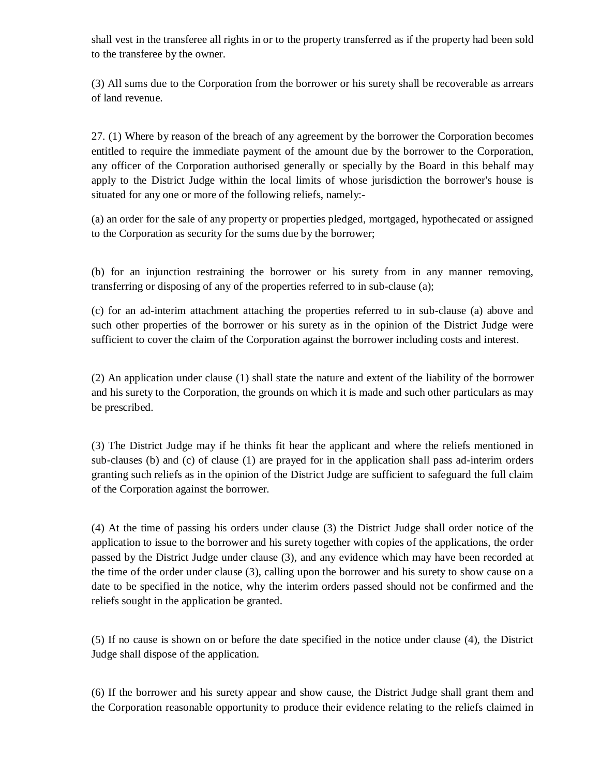shall vest in the transferee all rights in or to the property transferred as if the property had been sold to the transferee by the owner.

(3) All sums due to the Corporation from the borrower or his surety shall be recoverable as arrears of land revenue.

27. (1) Where by reason of the breach of any agreement by the borrower the Corporation becomes entitled to require the immediate payment of the amount due by the borrower to the Corporation, any officer of the Corporation authorised generally or specially by the Board in this behalf may apply to the District Judge within the local limits of whose jurisdiction the borrower's house is situated for any one or more of the following reliefs, namely:-

(a) an order for the sale of any property or properties pledged, mortgaged, hypothecated or assigned to the Corporation as security for the sums due by the borrower;

(b) for an injunction restraining the borrower or his surety from in any manner removing, transferring or disposing of any of the properties referred to in sub-clause (a);

(c) for an ad-interim attachment attaching the properties referred to in sub-clause (a) above and such other properties of the borrower or his surety as in the opinion of the District Judge were sufficient to cover the claim of the Corporation against the borrower including costs and interest.

(2) An application under clause (1) shall state the nature and extent of the liability of the borrower and his surety to the Corporation, the grounds on which it is made and such other particulars as may be prescribed.

(3) The District Judge may if he thinks fit hear the applicant and where the reliefs mentioned in sub-clauses (b) and (c) of clause (1) are prayed for in the application shall pass ad-interim orders granting such reliefs as in the opinion of the District Judge are sufficient to safeguard the full claim of the Corporation against the borrower.

(4) At the time of passing his orders under clause (3) the District Judge shall order notice of the application to issue to the borrower and his surety together with copies of the applications, the order passed by the District Judge under clause (3), and any evidence which may have been recorded at the time of the order under clause (3), calling upon the borrower and his surety to show cause on a date to be specified in the notice, why the interim orders passed should not be confirmed and the reliefs sought in the application be granted.

(5) If no cause is shown on or before the date specified in the notice under clause (4), the District Judge shall dispose of the application.

(6) If the borrower and his surety appear and show cause, the District Judge shall grant them and the Corporation reasonable opportunity to produce their evidence relating to the reliefs claimed in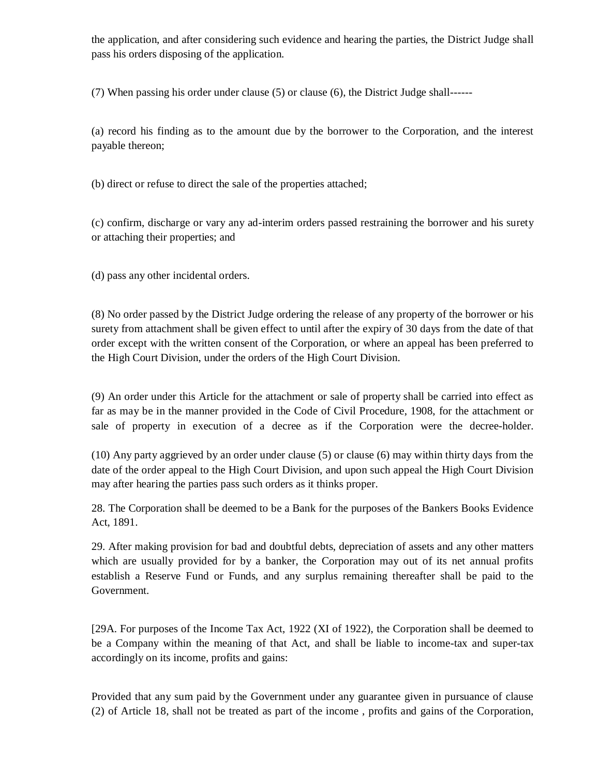the application, and after considering such evidence and hearing the parties, the District Judge shall pass his orders disposing of the application.

(7) When passing his order under clause (5) or clause (6), the District Judge shall------

(a) record his finding as to the amount due by the borrower to the Corporation, and the interest payable thereon;

(b) direct or refuse to direct the sale of the properties attached;

(c) confirm, discharge or vary any ad-interim orders passed restraining the borrower and his surety or attaching their properties; and

(d) pass any other incidental orders.

(8) No order passed by the District Judge ordering the release of any property of the borrower or his surety from attachment shall be given effect to until after the expiry of 30 days from the date of that order except with the written consent of the Corporation, or where an appeal has been preferred to the High Court Division, under the orders of the High Court Division.

(9) An order under this Article for the attachment or sale of property shall be carried into effect as far as may be in the manner provided in the Code of Civil Procedure, 1908, for the attachment or sale of property in execution of a decree as if the Corporation were the decree-holder.

(10) Any party aggrieved by an order under clause (5) or clause (6) may within thirty days from the date of the order appeal to the High Court Division, and upon such appeal the High Court Division may after hearing the parties pass such orders as it thinks proper.

28. The Corporation shall be deemed to be a Bank for the purposes of the Bankers Books Evidence Act, 1891.

29. After making provision for bad and doubtful debts, depreciation of assets and any other matters which are usually provided for by a banker, the Corporation may out of its net annual profits establish a Reserve Fund or Funds, and any surplus remaining thereafter shall be paid to the Government.

[29A. For purposes of the Income Tax Act, 1922 (XI of 1922), the Corporation shall be deemed to be a Company within the meaning of that Act, and shall be liable to income-tax and super-tax accordingly on its income, profits and gains:

Provided that any sum paid by the Government under any guarantee given in pursuance of clause (2) of Article 18, shall not be treated as part of the income , profits and gains of the Corporation,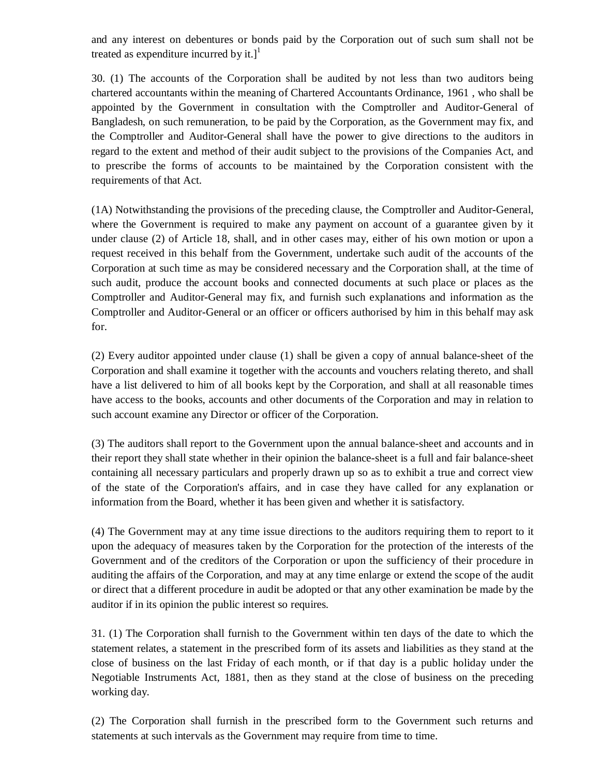and any interest on debentures or bonds paid by the Corporation out of such sum shall not be treated as expenditure incurred by it.] $\left| \right|$ 

30. (1) The accounts of the Corporation shall be audited by not less than two auditors being chartered accountants within the meaning of Chartered Accountants Ordinance, 1961 , who shall be appointed by the Government in consultation with the Comptroller and Auditor-General of Bangladesh, on such remuneration, to be paid by the Corporation, as the Government may fix, and the Comptroller and Auditor-General shall have the power to give directions to the auditors in regard to the extent and method of their audit subject to the provisions of the Companies Act, and to prescribe the forms of accounts to be maintained by the Corporation consistent with the requirements of that Act.

(1A) Notwithstanding the provisions of the preceding clause, the Comptroller and Auditor-General, where the Government is required to make any payment on account of a guarantee given by it under clause (2) of Article 18, shall, and in other cases may, either of his own motion or upon a request received in this behalf from the Government, undertake such audit of the accounts of the Corporation at such time as may be considered necessary and the Corporation shall, at the time of such audit, produce the account books and connected documents at such place or places as the Comptroller and Auditor-General may fix, and furnish such explanations and information as the Comptroller and Auditor-General or an officer or officers authorised by him in this behalf may ask for.

(2) Every auditor appointed under clause (1) shall be given a copy of annual balance-sheet of the Corporation and shall examine it together with the accounts and vouchers relating thereto, and shall have a list delivered to him of all books kept by the Corporation, and shall at all reasonable times have access to the books, accounts and other documents of the Corporation and may in relation to such account examine any Director or officer of the Corporation.

(3) The auditors shall report to the Government upon the annual balance-sheet and accounts and in their report they shall state whether in their opinion the balance-sheet is a full and fair balance-sheet containing all necessary particulars and properly drawn up so as to exhibit a true and correct view of the state of the Corporation's affairs, and in case they have called for any explanation or information from the Board, whether it has been given and whether it is satisfactory.

(4) The Government may at any time issue directions to the auditors requiring them to report to it upon the adequacy of measures taken by the Corporation for the protection of the interests of the Government and of the creditors of the Corporation or upon the sufficiency of their procedure in auditing the affairs of the Corporation, and may at any time enlarge or extend the scope of the audit or direct that a different procedure in audit be adopted or that any other examination be made by the auditor if in its opinion the public interest so requires.

31. (1) The Corporation shall furnish to the Government within ten days of the date to which the statement relates, a statement in the prescribed form of its assets and liabilities as they stand at the close of business on the last Friday of each month, or if that day is a public holiday under the Negotiable Instruments Act, 1881, then as they stand at the close of business on the preceding working day.

(2) The Corporation shall furnish in the prescribed form to the Government such returns and statements at such intervals as the Government may require from time to time.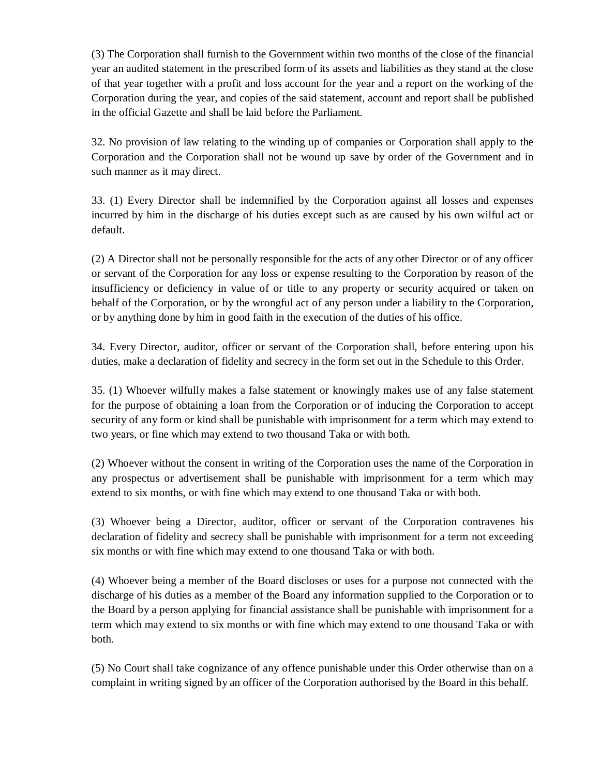(3) The Corporation shall furnish to the Government within two months of the close of the financial year an audited statement in the prescribed form of its assets and liabilities as they stand at the close of that year together with a profit and loss account for the year and a report on the working of the Corporation during the year, and copies of the said statement, account and report shall be published in the official Gazette and shall be laid before the Parliament.

32. No provision of law relating to the winding up of companies or Corporation shall apply to the Corporation and the Corporation shall not be wound up save by order of the Government and in such manner as it may direct.

33. (1) Every Director shall be indemnified by the Corporation against all losses and expenses incurred by him in the discharge of his duties except such as are caused by his own wilful act or default.

(2) A Director shall not be personally responsible for the acts of any other Director or of any officer or servant of the Corporation for any loss or expense resulting to the Corporation by reason of the insufficiency or deficiency in value of or title to any property or security acquired or taken on behalf of the Corporation, or by the wrongful act of any person under a liability to the Corporation, or by anything done by him in good faith in the execution of the duties of his office.

34. Every Director, auditor, officer or servant of the Corporation shall, before entering upon his duties, make a declaration of fidelity and secrecy in the form set out in the Schedule to this Order.

35. (1) Whoever wilfully makes a false statement or knowingly makes use of any false statement for the purpose of obtaining a loan from the Corporation or of inducing the Corporation to accept security of any form or kind shall be punishable with imprisonment for a term which may extend to two years, or fine which may extend to two thousand Taka or with both.

(2) Whoever without the consent in writing of the Corporation uses the name of the Corporation in any prospectus or advertisement shall be punishable with imprisonment for a term which may extend to six months, or with fine which may extend to one thousand Taka or with both.

(3) Whoever being a Director, auditor, officer or servant of the Corporation contravenes his declaration of fidelity and secrecy shall be punishable with imprisonment for a term not exceeding six months or with fine which may extend to one thousand Taka or with both.

(4) Whoever being a member of the Board discloses or uses for a purpose not connected with the discharge of his duties as a member of the Board any information supplied to the Corporation or to the Board by a person applying for financial assistance shall be punishable with imprisonment for a term which may extend to six months or with fine which may extend to one thousand Taka or with both.

(5) No Court shall take cognizance of any offence punishable under this Order otherwise than on a complaint in writing signed by an officer of the Corporation authorised by the Board in this behalf.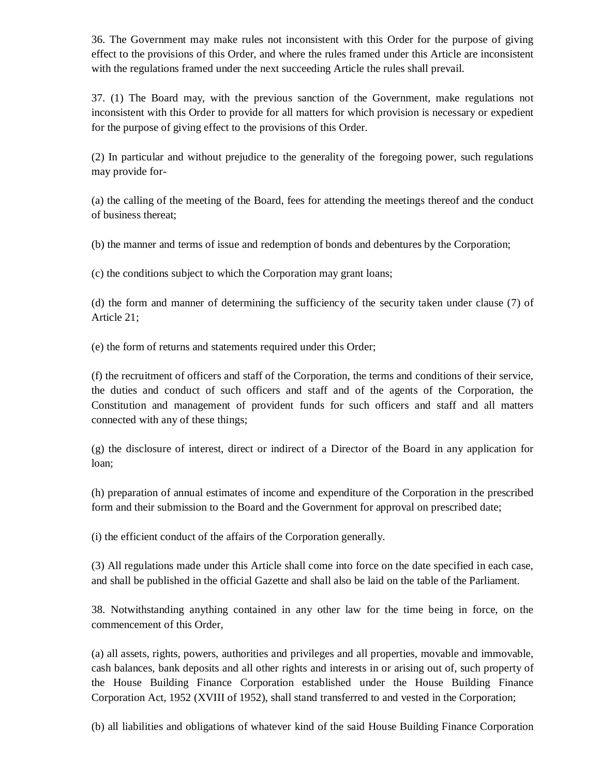36. The Government may make rules not inconsistent with this Order for the purpose of giving effect to the provisions of this Order, and where the rules framed under this Article are inconsistent with the regulations framed under the next succeeding Article the rules shall prevail.

37. (1) The Board may, with the previous sanction of the Government, make regulations not inconsistent with this Order to provide for all matters for which provision is necessary or expedient for the purpose of giving effect to the provisions of this Order.

(2) In particular and without prejudice to the generality of the foregoing power, such regulations may provide for-

(a) the calling of the meeting of the Board, fees for attending the meetings thereof and the conduct of business thereat;

(b) the manner and terms of issue and redemption of bonds and debentures by the Corporation;

(c) the conditions subject to which the Corporation may grant loans;

(d) the form and manner of determining the sufficiency of the security taken under clause (7) of Article 21;

(e) the form of returns and statements required under this Order;

(f) the recruitment of officers and staff of the Corporation, the terms and conditions of their service, the duties and conduct of such officers and staff and of the agents of the Corporation, the Constitution and management of provident funds for such officers and staff and all matters connected with any of these things;

(g) the disclosure of interest, direct or indirect of a Director of the Board in any application for loan;

(h) preparation of annual estimates of income and expenditure of the Corporation in the prescribed form and their submission to the Board and the Government for approval on prescribed date;

(i) the efficient conduct of the affairs of the Corporation generally.

(3) All regulations made under this Article shall come into force on the date specified in each case, and shall be published in the official Gazette and shall also be laid on the table of the Parliament.

38. Notwithstanding anything contained in any other law for the time being in force, on the commencement of this Order,

(a) all assets, rights, powers, authorities and privileges and all properties, movable and immovable, cash balances, bank deposits and all other rights and interests in or arising out of, such property of the House Building Finance Corporation established under the House Building Finance Corporation Act, 1952 (XVIII of 1952), shall stand transferred to and vested in the Corporation;

(b) all liabilities and obligations of whatever kind of the said House Building Finance Corporation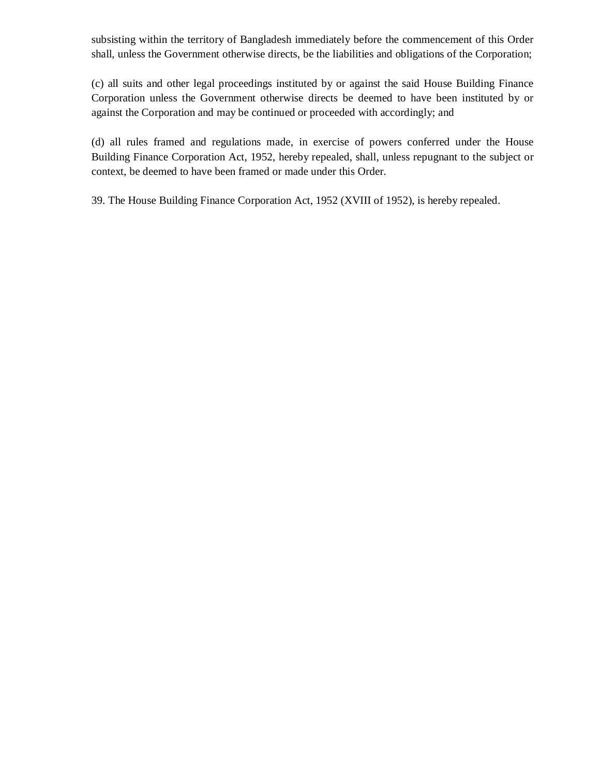subsisting within the territory of Bangladesh immediately before the commencement of this Order shall, unless the Government otherwise directs, be the liabilities and obligations of the Corporation;

(c) all suits and other legal proceedings instituted by or against the said House Building Finance Corporation unless the Government otherwise directs be deemed to have been instituted by or against the Corporation and may be continued or proceeded with accordingly; and

(d) all rules framed and regulations made, in exercise of powers conferred under the House Building Finance Corporation Act, 1952, hereby repealed, shall, unless repugnant to the subject or context, be deemed to have been framed or made under this Order.

39. The House Building Finance Corporation Act, 1952 (XVIII of 1952), is hereby repealed.